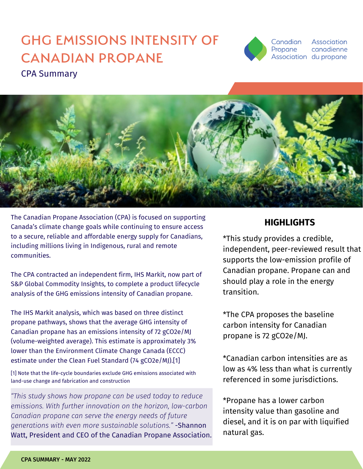# CPA Summary GHG EMISSIONS INTENSITY OF CANADIAN PROPANE



Association canadienne Association du propane



The Canadian Propane Association (CPA) is focused on supporting Canada's climate change goals while continuing to ensure access to a secure, reliable and affordable energy supply for Canadians, including millions living in Indigenous, rural and remote communities.

The CPA contracted an independent firm, IHS Markit, now part of S&P Global Commodity Insights, to complete a product lifecycle analysis of the GHG emissions intensity of Canadian propane.

The IHS Markit analysis, which was based on three distinct propane pathways, shows that the average GHG intensity of Canadian propane has an emissions intensity of 72 gCO2e/MJ (volume-weighted average). This estimate is approximately 3% lower than the Environment Climate Change Canada (ECCC) estimate under the Clean Fuel Standard (74 gCO2e/MJ).[1]

[1] Note that the life-cycle boundaries exclude GHG emissions associated with land-use change and fabrication and construction

*"This study shows how propane can be used today to reduce emissions. With further innovation on the horizon, low-carbon Canadian propane can serve the energy needs of future generations with even more sustainable solutions."* -Shannon Watt, President and CEO of the Canadian Propane Association.

# **HIGHLIGHTS**

\*This study provides a credible, independent, peer-reviewed result that supports the low-emission profile of Canadian propane. Propane can and should play a role in the energy transition.

\*The CPA proposes the baseline carbon intensity for Canadian propane is 72 gCO2e/MJ.

\*Canadian carbon intensities are as low as 4% less than what is currently referenced in some jurisdictions.

\*Propane has a lower carbon intensity value than gasoline and diesel, and it is on par with liquified natural gas.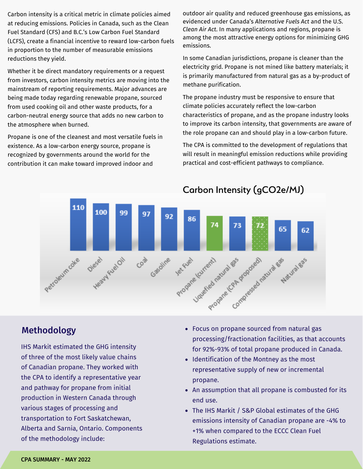Carbon intensity is a critical metric in climate policies aimed at reducing emissions. Policies in Canada, such as the Clean Fuel Standard (CFS) and B.C.'s Low Carbon Fuel Standard (LCFS), create a financial incentive to reward low-carbon fuels in proportion to the number of measurable emissions reductions they yield.

Whether it be direct mandatory requirements or a request from investors, carbon intensity metrics are moving into the mainstream of reporting requirements. Major advances are being made today regarding renewable propane, sourced from used cooking oil and other waste products, for a carbon-neutral energy source that adds no new carbon to the atmosphere when burned.

Propane is one of the cleanest and most versatile fuels in existence. As a low-carbon energy source, propane is recognized by governments around the world for the contribution it can make toward improved indoor and

outdoor air quality and reduced greenhouse gas emissions, as evidenced under Canada's *Alternative Fuels Act* and the U.S. *Clean Air Act*. In many applications and regions, propane is among the most attractive energy options for minimizing GHG emissions.

In some Canadian jurisdictions, propane is cleaner than the electricity grid. Propane is not mined like battery materials; it is primarily manufactured from natural gas as a by-product of methane purification.

The propane industry must be responsive to ensure that climate policies accurately reflect the low-carbon characteristics of propane, and as the propane industry looks to improve its carbon intensity, that governments are aware of the role propane can and should play in a low-carbon future.

The CPA is committed to the development of regulations that will result in meaningful emission reductions while providing practical and cost-efficient pathways to compliance.



# Methodology

IHS Markit estimated the GHG intensity of three of the most likely value chains of Canadian propane. They worked with the CPA to identify a representative year and pathway for propane from initial production in Western Canada through various stages of processing and transportation to Fort Saskatchewan, Alberta and Sarnia, Ontario. Components of the methodology include:

- Focus on propane sourced from natural gas processing/fractionation facilities, as that accounts for 92%-93% of total propane produced in Canada.
- Identification of the Montney as the most representative supply of new or incremental propane.
- An assumption that all propane is combusted for its end use.
- The IHS Markit / S&P Global estimates of the GHG emissions intensity of Canadian propane are -4% to +1% when compared to the ECCC Clean Fuel Regulations estimate.